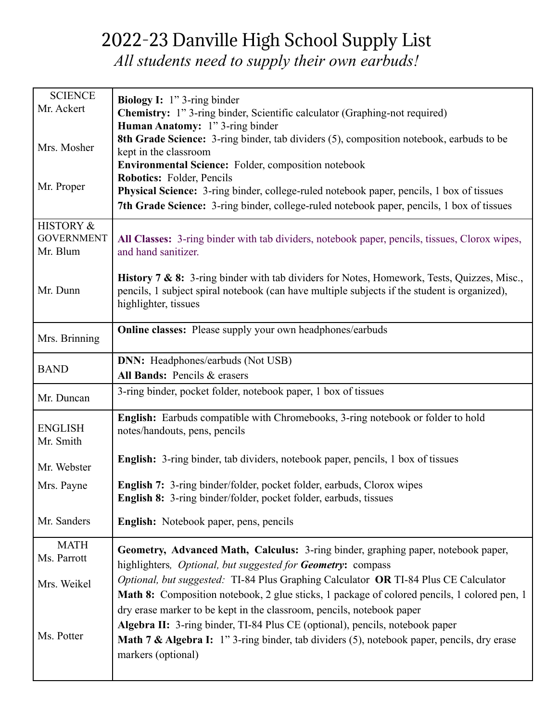## 2022-23 Danville High School Supply List

*All students need to supply their own earbuds!*

| <b>SCIENCE</b><br>Mr. Ackert  | <b>Biology I:</b> $1$ " 3-ring binder                                                                                                                                                      |
|-------------------------------|--------------------------------------------------------------------------------------------------------------------------------------------------------------------------------------------|
|                               | <b>Chemistry:</b> 1" 3-ring binder, Scientific calculator (Graphing-not required)<br>Human Anatomy: 1" 3-ring binder                                                                       |
| Mrs. Mosher                   | 8th Grade Science: 3-ring binder, tab dividers (5), composition notebook, earbuds to be                                                                                                    |
|                               | kept in the classroom<br><b>Environmental Science:</b> Folder, composition notebook                                                                                                        |
|                               | Robotics: Folder, Pencils                                                                                                                                                                  |
| Mr. Proper                    | Physical Science: 3-ring binder, college-ruled notebook paper, pencils, 1 box of tissues                                                                                                   |
|                               | 7th Grade Science: 3-ring binder, college-ruled notebook paper, pencils, 1 box of tissues                                                                                                  |
| HISTORY &                     |                                                                                                                                                                                            |
| <b>GOVERNMENT</b><br>Mr. Blum | All Classes: 3-ring binder with tab dividers, notebook paper, pencils, tissues, Clorox wipes,<br>and hand sanitizer.                                                                       |
|                               |                                                                                                                                                                                            |
| Mr. Dunn                      | History 7 & 8: 3-ring binder with tab dividers for Notes, Homework, Tests, Quizzes, Misc.,<br>pencils, 1 subject spiral notebook (can have multiple subjects if the student is organized), |
|                               | highlighter, tissues                                                                                                                                                                       |
|                               |                                                                                                                                                                                            |
| Mrs. Brinning                 | <b>Online classes:</b> Please supply your own headphones/earbuds                                                                                                                           |
|                               | <b>DNN:</b> Headphones/earbuds (Not USB)                                                                                                                                                   |
| <b>BAND</b>                   | All Bands: Pencils & erasers                                                                                                                                                               |
| Mr. Duncan                    | 3-ring binder, pocket folder, notebook paper, 1 box of tissues                                                                                                                             |
|                               |                                                                                                                                                                                            |
|                               | English: Earbuds compatible with Chromebooks, 3-ring notebook or folder to hold                                                                                                            |
| <b>ENGLISH</b><br>Mr. Smith   | notes/handouts, pens, pencils                                                                                                                                                              |
|                               | <b>English:</b> 3-ring binder, tab dividers, notebook paper, pencils, 1 box of tissues                                                                                                     |
| Mr. Webster                   |                                                                                                                                                                                            |
| Mrs. Payne                    | <b>English 7:</b> 3-ring binder/folder, pocket folder, earbuds, Clorox wipes                                                                                                               |
|                               | English 8: 3-ring binder/folder, pocket folder, earbuds, tissues                                                                                                                           |
| Mr. Sanders                   | English: Notebook paper, pens, pencils                                                                                                                                                     |
| <b>MATH</b>                   | Geometry, Advanced Math, Calculus: 3-ring binder, graphing paper, notebook paper,                                                                                                          |
| Ms. Parrott                   | highlighters, <i>Optional</i> , but suggested for <b>Geometry:</b> compass                                                                                                                 |
| Mrs. Weikel                   | Optional, but suggested: TI-84 Plus Graphing Calculator OR TI-84 Plus CE Calculator                                                                                                        |
|                               | Math 8: Composition notebook, 2 glue sticks, 1 package of colored pencils, 1 colored pen, 1                                                                                                |
|                               | dry erase marker to be kept in the classroom, pencils, notebook paper                                                                                                                      |
| Ms. Potter                    | Algebra II: 3-ring binder, TI-84 Plus CE (optional), pencils, notebook paper<br><b>Math 7 &amp; Algebra I:</b> 1" 3-ring binder, tab dividers (5), notebook paper, pencils, dry erase      |
|                               | markers (optional)                                                                                                                                                                         |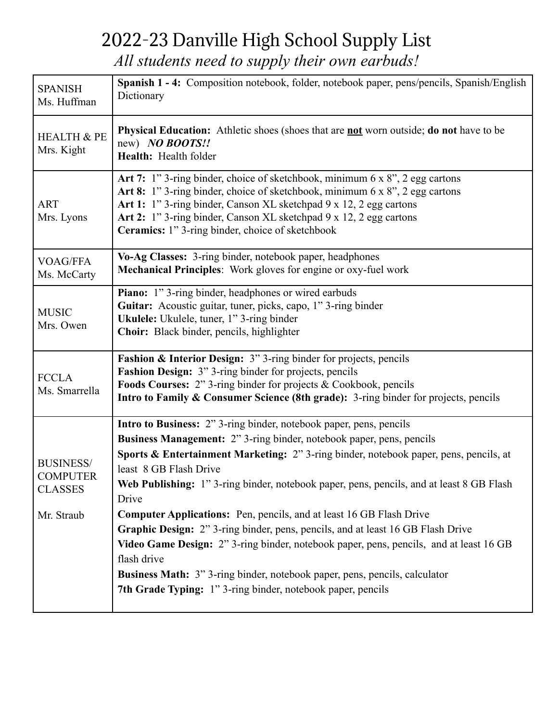## 2022-23 Danville High School Supply List

*All students need to supply their own earbuds!*

| <b>SPANISH</b><br>Ms. Huffman                                       | Spanish 1 - 4: Composition notebook, folder, notebook paper, pens/pencils, Spanish/English<br>Dictionary                                                                                                                                                                                                                                                                                                                                                                                                                                                                                                                                                                                                                                                                                                       |
|---------------------------------------------------------------------|----------------------------------------------------------------------------------------------------------------------------------------------------------------------------------------------------------------------------------------------------------------------------------------------------------------------------------------------------------------------------------------------------------------------------------------------------------------------------------------------------------------------------------------------------------------------------------------------------------------------------------------------------------------------------------------------------------------------------------------------------------------------------------------------------------------|
| <b>HEALTH &amp; PE</b><br>Mrs. Kight                                | <b>Physical Education:</b> Athletic shoes (shoes that are <b>not</b> worn outside; do not have to be<br>new) NO BOOTS!!<br>Health: Health folder                                                                                                                                                                                                                                                                                                                                                                                                                                                                                                                                                                                                                                                               |
| <b>ART</b><br>Mrs. Lyons                                            | Art 7: 1" 3-ring binder, choice of sketchbook, minimum 6 x 8", 2 egg cartons<br>Art 8: 1" 3-ring binder, choice of sketchbook, minimum 6 x 8", 2 egg cartons<br>Art 1: 1" 3-ring binder, Canson XL sketchpad 9 x 12, 2 egg cartons<br>Art 2: 1" 3-ring binder, Canson XL sketchpad 9 x 12, 2 egg cartons<br>Ceramics: 1" 3-ring binder, choice of sketchbook                                                                                                                                                                                                                                                                                                                                                                                                                                                   |
| <b>VOAG/FFA</b><br>Ms. McCarty                                      | Vo-Ag Classes: 3-ring binder, notebook paper, headphones<br>Mechanical Principles: Work gloves for engine or oxy-fuel work                                                                                                                                                                                                                                                                                                                                                                                                                                                                                                                                                                                                                                                                                     |
| <b>MUSIC</b><br>Mrs. Owen                                           | Piano: 1" 3-ring binder, headphones or wired earbuds<br>Guitar: Acoustic guitar, tuner, picks, capo, 1" 3-ring binder<br>Ukulele: Ukulele, tuner, 1" 3-ring binder<br>Choir: Black binder, pencils, highlighter                                                                                                                                                                                                                                                                                                                                                                                                                                                                                                                                                                                                |
| <b>FCCLA</b><br>Ms. Smarrella                                       | Fashion & Interior Design: 3" 3-ring binder for projects, pencils<br><b>Fashion Design:</b> 3" 3-ring binder for projects, pencils<br>Foods Courses: 2" 3-ring binder for projects & Cookbook, pencils<br>Intro to Family & Consumer Science (8th grade): 3-ring binder for projects, pencils                                                                                                                                                                                                                                                                                                                                                                                                                                                                                                                  |
| <b>BUSINESS/</b><br><b>COMPUTER</b><br><b>CLASSES</b><br>Mr. Straub | Intro to Business: 2" 3-ring binder, notebook paper, pens, pencils<br><b>Business Management:</b> 2" 3-ring binder, notebook paper, pens, pencils<br>Sports & Entertainment Marketing: 2" 3-ring binder, notebook paper, pens, pencils, at<br>least 8 GB Flash Drive<br>Web Publishing: 1" 3-ring binder, notebook paper, pens, pencils, and at least 8 GB Flash<br>Drive<br><b>Computer Applications:</b> Pen, pencils, and at least 16 GB Flash Drive<br>Graphic Design: 2" 3-ring binder, pens, pencils, and at least 16 GB Flash Drive<br>Video Game Design: 2" 3-ring binder, notebook paper, pens, pencils, and at least 16 GB<br>flash drive<br><b>Business Math:</b> 3" 3-ring binder, notebook paper, pens, pencils, calculator<br><b>7th Grade Typing:</b> 1" 3-ring binder, notebook paper, pencils |
|                                                                     |                                                                                                                                                                                                                                                                                                                                                                                                                                                                                                                                                                                                                                                                                                                                                                                                                |